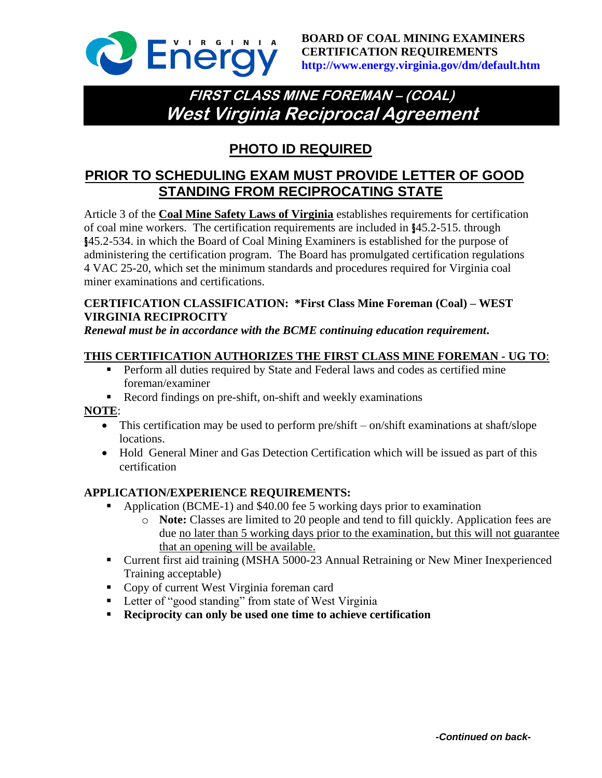

# **FIRST CLASS MINE FOREMAN – (COAL) West Virginia Reciprocal Agreement**

## **PHOTO ID REQUIRED**

## **PRIOR TO SCHEDULING EXAM MUST PROVIDE LETTER OF GOOD STANDING FROM RECIPROCATING STATE**

Article 3 of the **Coal Mine Safety Laws of Virginia** establishes requirements for certification of coal mine workers. The certification requirements are included in §45.2-515. through §45.2-534. in which the Board of Coal Mining Examiners is established for the purpose of administering the certification program. The Board has promulgated certification regulations 4 VAC 25-20, which set the minimum standards and procedures required for Virginia coal miner examinations and certifications.

### **CERTIFICATION CLASSIFICATION: \*First Class Mine Foreman (Coal) – WEST VIRGINIA RECIPROCITY**

*Renewal must be in accordance with the BCME continuing education requirement***.**

#### **THIS CERTIFICATION AUTHORIZES THE FIRST CLASS MINE FOREMAN - UG TO**:

- **Perform all duties required by State and Federal laws and codes as certified mine** foreman/examiner
- Record findings on pre-shift, on-shift and weekly examinations

#### **NOTE**:

- This certification may be used to perform pre/shift on/shift examinations at shaft/slope locations.
- Hold General Miner and Gas Detection Certification which will be issued as part of this certification

#### **APPLICATION/EXPERIENCE REQUIREMENTS:**

- Application (BCME-1) and \$40.00 fee 5 working days prior to examination
	- o **Note:** Classes are limited to 20 people and tend to fill quickly. Application fees are due no later than 5 working days prior to the examination, but this will not guarantee that an opening will be available.
- Current first aid training (MSHA 5000-23 Annual Retraining or New Miner Inexperienced Training acceptable)
- Copy of current West Virginia foreman card
- **Letter of "good standing" from state of West Virginia**
- **Reciprocity can only be used one time to achieve certification**